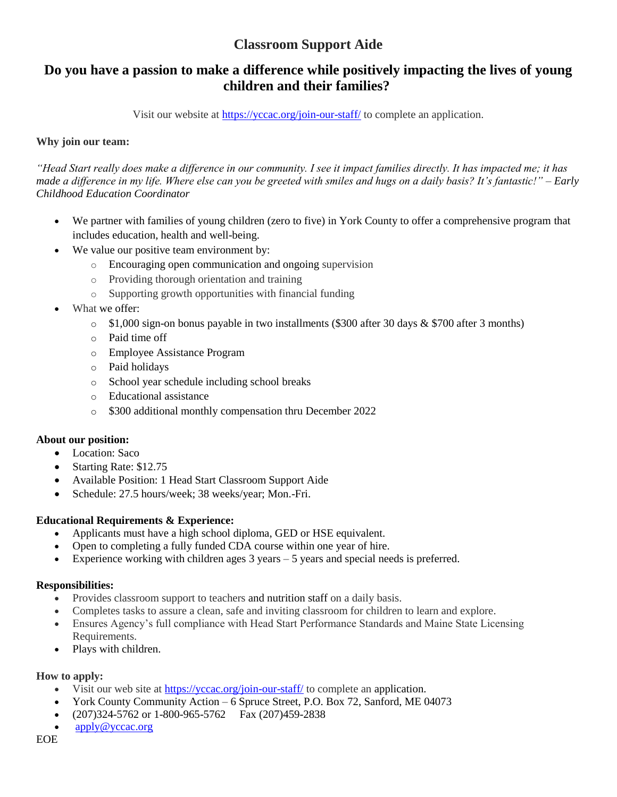## **Do you have a passion to make a difference while positively impacting the lives of young children and their families?**

Visit our website at<https://yccac.org/join-our-staff/> to complete an application.

## **Why join our team:**

*"Head Start really does make a difference in our community. I see it impact families directly. It has impacted me; it has made a difference in my life. Where else can you be greeted with smiles and hugs on a daily basis? It's fantastic!" – Early Childhood Education Coordinator*

- We partner with families of young children (zero to five) in York County to offer a comprehensive program that includes education, health and well-being.
- We value our positive team environment by:
	- o Encouraging open communication and ongoing supervision
	- o Providing thorough orientation and training
	- o Supporting growth opportunities with financial funding
- What we offer:
	- $\circ$  \$1,000 sign-on bonus payable in two installments (\$300 after 30 days & \$700 after 3 months)
	- o Paid time off
	- o Employee Assistance Program
	- o Paid holidays
	- o School year schedule including school breaks
	- o Educational assistance
	- o \$300 additional monthly compensation thru December 2022

## **About our position:**

- Location: Saco
- Starting Rate: \$12.75
- Available Position: 1 Head Start Classroom Support Aide
- Schedule: 27.5 hours/week; 38 weeks/year; Mon.-Fri.

## **Educational Requirements & Experience:**

- Applicants must have a high school diploma, GED or HSE equivalent.
- Open to completing a fully funded CDA course within one year of hire.
- Experience working with children ages  $3$  years  $-5$  years and special needs is preferred.

## **Responsibilities:**

- Provides classroom support to teachers and nutrition staff on a daily basis.
- Completes tasks to assure a clean, safe and inviting classroom for children to learn and explore.
- Ensures Agency's full compliance with Head Start Performance Standards and Maine State Licensing Requirements.
- Plays with children.

- Visit our web site at <https://yccac.org/join-our-staff/> to complete an application.
- York County Community Action 6 Spruce Street, P.O. Box 72, Sanford, ME 04073
- (207)324-5762 or 1-800-965-5762 Fax (207)459-2838
- [apply@yccac.org](mailto:apply@yccac.org)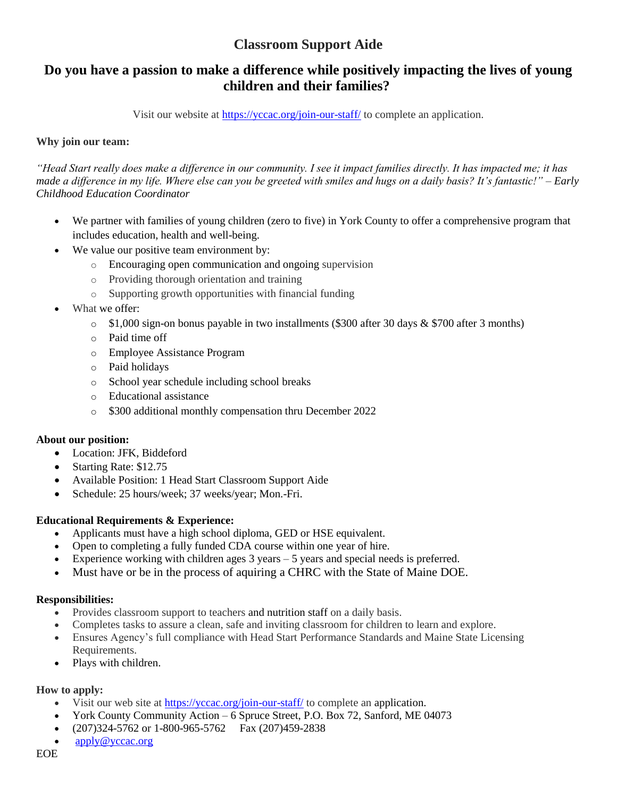## **Do you have a passion to make a difference while positively impacting the lives of young children and their families?**

Visit our website at<https://yccac.org/join-our-staff/> to complete an application.

## **Why join our team:**

*"Head Start really does make a difference in our community. I see it impact families directly. It has impacted me; it has made a difference in my life. Where else can you be greeted with smiles and hugs on a daily basis? It's fantastic!" – Early Childhood Education Coordinator*

- We partner with families of young children (zero to five) in York County to offer a comprehensive program that includes education, health and well-being.
- We value our positive team environment by:
	- o Encouraging open communication and ongoing supervision
	- o Providing thorough orientation and training
	- o Supporting growth opportunities with financial funding
- What we offer:
	- $\circ$  \$1,000 sign-on bonus payable in two installments (\$300 after 30 days & \$700 after 3 months)
	- o Paid time off
	- o Employee Assistance Program
	- o Paid holidays
	- o School year schedule including school breaks
	- o Educational assistance
	- o \$300 additional monthly compensation thru December 2022

## **About our position:**

- Location: JFK, Biddeford
- Starting Rate: \$12.75
- Available Position: 1 Head Start Classroom Support Aide
- Schedule: 25 hours/week; 37 weeks/year; Mon.-Fri.

## **Educational Requirements & Experience:**

- Applicants must have a high school diploma, GED or HSE equivalent.
- Open to completing a fully funded CDA course within one year of hire.
- Experience working with children ages 3 years 5 years and special needs is preferred.
- Must have or be in the process of aquiring a CHRC with the State of Maine DOE.

#### **Responsibilities:**

- Provides classroom support to teachers and nutrition staff on a daily basis.
- Completes tasks to assure a clean, safe and inviting classroom for children to learn and explore.
- Ensures Agency's full compliance with Head Start Performance Standards and Maine State Licensing Requirements.
- Plays with children.

- Visit our web site at <https://yccac.org/join-our-staff/> to complete an application.
- York County Community Action 6 Spruce Street, P.O. Box 72, Sanford, ME 04073
- (207)324-5762 or 1-800-965-5762 Fax (207)459-2838
- [apply@yccac.org](mailto:apply@yccac.org)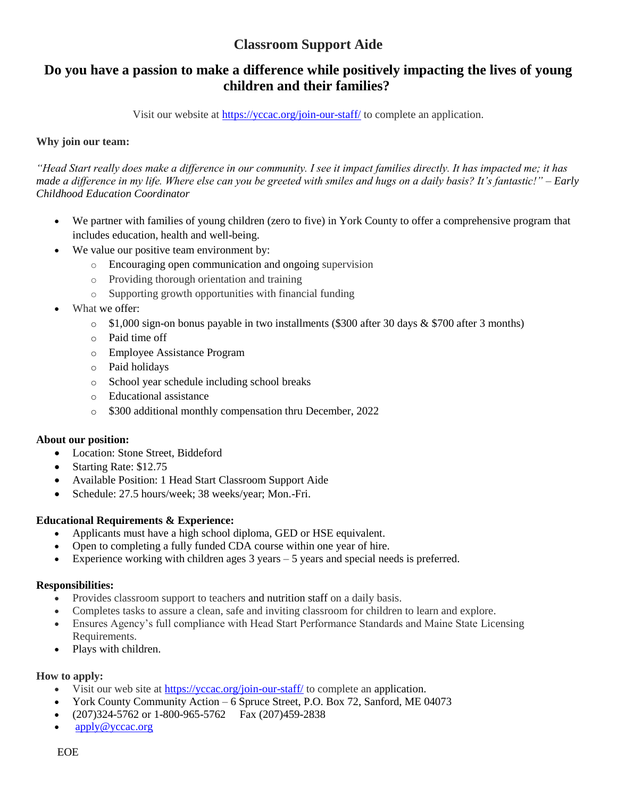## **Do you have a passion to make a difference while positively impacting the lives of young children and their families?**

Visit our website at<https://yccac.org/join-our-staff/> to complete an application.

### **Why join our team:**

*"Head Start really does make a difference in our community. I see it impact families directly. It has impacted me; it has made a difference in my life. Where else can you be greeted with smiles and hugs on a daily basis? It's fantastic!" – Early Childhood Education Coordinator*

- We partner with families of young children (zero to five) in York County to offer a comprehensive program that includes education, health and well-being.
- We value our positive team environment by:
	- o Encouraging open communication and ongoing supervision
	- o Providing thorough orientation and training
	- o Supporting growth opportunities with financial funding
- What we offer:
	- $\circ$  \$1,000 sign-on bonus payable in two installments (\$300 after 30 days & \$700 after 3 months)
	- o Paid time off
	- o Employee Assistance Program
	- o Paid holidays
	- o School year schedule including school breaks
	- o Educational assistance
	- o \$300 additional monthly compensation thru December, 2022

#### **About our position:**

- Location: Stone Street, Biddeford
- Starting Rate: \$12.75
- Available Position: 1 Head Start Classroom Support Aide
- Schedule: 27.5 hours/week; 38 weeks/year; Mon.-Fri.

## **Educational Requirements & Experience:**

- Applicants must have a high school diploma, GED or HSE equivalent.
- Open to completing a fully funded CDA course within one year of hire.
- Experience working with children ages  $3$  years  $-5$  years and special needs is preferred.

#### **Responsibilities:**

- Provides classroom support to teachers and nutrition staff on a daily basis.
- Completes tasks to assure a clean, safe and inviting classroom for children to learn and explore.
- Ensures Agency's full compliance with Head Start Performance Standards and Maine State Licensing Requirements.
- Plays with children.

- Visit our web site at <https://yccac.org/join-our-staff/> to complete an application.
- York County Community Action 6 Spruce Street, P.O. Box 72, Sanford, ME 04073
- (207)324-5762 or 1-800-965-5762 Fax (207)459-2838
- [apply@yccac.org](mailto:apply@yccac.org)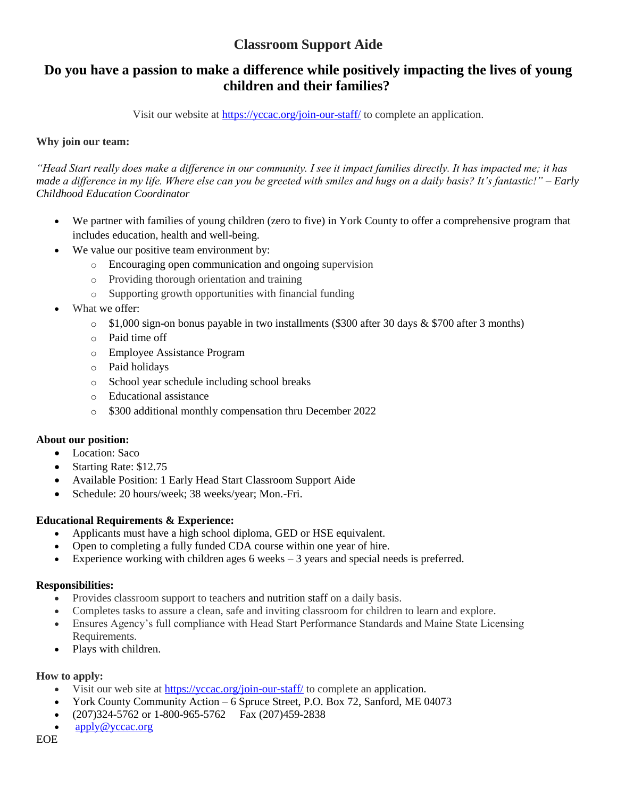## **Do you have a passion to make a difference while positively impacting the lives of young children and their families?**

Visit our website at<https://yccac.org/join-our-staff/> to complete an application.

## **Why join our team:**

*"Head Start really does make a difference in our community. I see it impact families directly. It has impacted me; it has made a difference in my life. Where else can you be greeted with smiles and hugs on a daily basis? It's fantastic!" – Early Childhood Education Coordinator*

- We partner with families of young children (zero to five) in York County to offer a comprehensive program that includes education, health and well-being.
- We value our positive team environment by:
	- o Encouraging open communication and ongoing supervision
	- o Providing thorough orientation and training
	- o Supporting growth opportunities with financial funding
- What we offer:
	- $\circ$  \$1,000 sign-on bonus payable in two installments (\$300 after 30 days & \$700 after 3 months)
	- o Paid time off
	- o Employee Assistance Program
	- o Paid holidays
	- o School year schedule including school breaks
	- o Educational assistance
	- o \$300 additional monthly compensation thru December 2022

## **About our position:**

- Location: Saco
- Starting Rate: \$12.75
- Available Position: 1 Early Head Start Classroom Support Aide
- Schedule: 20 hours/week; 38 weeks/year; Mon.-Fri.

## **Educational Requirements & Experience:**

- Applicants must have a high school diploma, GED or HSE equivalent.
- Open to completing a fully funded CDA course within one year of hire.
- Experience working with children ages  $6$  weeks  $-3$  years and special needs is preferred.

## **Responsibilities:**

- Provides classroom support to teachers and nutrition staff on a daily basis.
- Completes tasks to assure a clean, safe and inviting classroom for children to learn and explore.
- Ensures Agency's full compliance with Head Start Performance Standards and Maine State Licensing Requirements.
- Plays with children.

- Visit our web site at <https://yccac.org/join-our-staff/> to complete an application.
- York County Community Action 6 Spruce Street, P.O. Box 72, Sanford, ME 04073
- (207)324-5762 or 1-800-965-5762 Fax (207)459-2838
- [apply@yccac.org](mailto:apply@yccac.org)